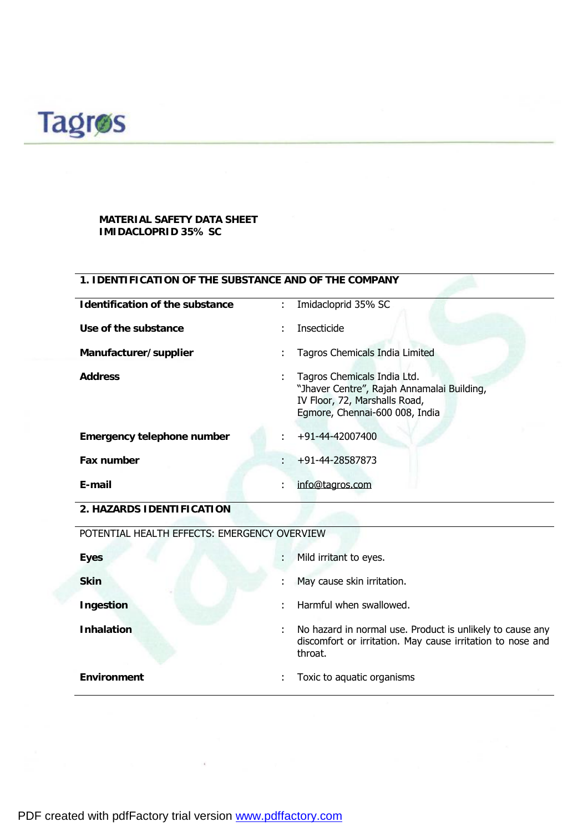

## **MATERIAL SAFETY DATA SHEET IMIDACLOPRID 35% SC**

## **1. IDENTIFICATION OF THE SUBSTANCE AND OF THE COMPANY**

| Identification of the substance | ÷ | Imidacloprid 35% SC                                                                                                                          |
|---------------------------------|---|----------------------------------------------------------------------------------------------------------------------------------------------|
| Use of the substance            | ٠ | <b>Insecticide</b>                                                                                                                           |
| Manufacturer/supplier           |   | Tagros Chemicals India Limited                                                                                                               |
| <b>Address</b>                  |   | Tagros Chemicals India Ltd.<br>"Jhaver Centre", Rajah Annamalai Building,<br>IV Floor, 72, Marshalls Road,<br>Egmore, Chennai-600 008, India |
| Emergency telephone number      | ÷ | +91-44-42007400                                                                                                                              |
| Fax number                      |   | +91-44-28587873                                                                                                                              |
| E-mail                          | ٠ | info@tagros.com                                                                                                                              |

**2. HAZARDS IDENTIFICATION** 

| POTENTIAL HEALTH EFFECTS: EMERGENCY OVERVIEW |   |                                                                                                                                    |  |
|----------------------------------------------|---|------------------------------------------------------------------------------------------------------------------------------------|--|
| <b>Eyes</b>                                  | ÷ | Mild irritant to eyes.                                                                                                             |  |
| <b>Skin</b>                                  | ÷ | May cause skin irritation.                                                                                                         |  |
| Ingestion                                    |   | Harmful when swallowed.                                                                                                            |  |
| <b>Inhalation</b>                            | ÷ | No hazard in normal use. Product is unlikely to cause any<br>discomfort or irritation. May cause irritation to nose and<br>throat. |  |
| Environment                                  |   | Toxic to aquatic organisms                                                                                                         |  |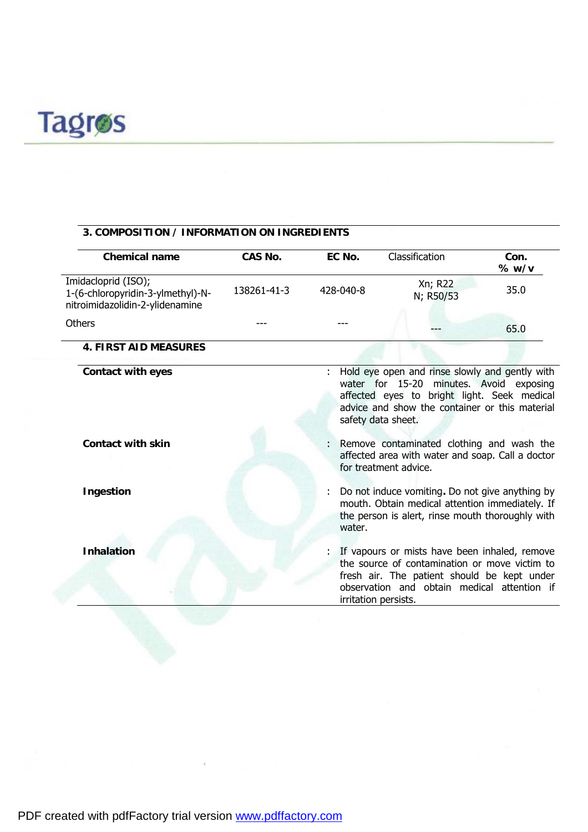

# **3. COMPOSITION / INFORMATION ON INGREDIENTS**

| <b>Chemical name</b>                                                                        | CAS No.     | EC No.    | Classification                                                                                                                                                                                                       | Con.<br>% w/v           |
|---------------------------------------------------------------------------------------------|-------------|-----------|----------------------------------------------------------------------------------------------------------------------------------------------------------------------------------------------------------------------|-------------------------|
| Imidacloprid (ISO);<br>1-(6-chloropyridin-3-ylmethyl)-N-<br>nitroimidazolidin-2-ylidenamine | 138261-41-3 | 428-040-8 | Xn; R22<br>N; R50/53                                                                                                                                                                                                 | 35.0                    |
| Others                                                                                      |             |           |                                                                                                                                                                                                                      | 65.0                    |
| <b>4. FIRST AID MEASURES</b>                                                                |             |           |                                                                                                                                                                                                                      |                         |
| Contact with eyes                                                                           |             |           | Hold eye open and rinse slowly and gently with<br>water for 15-20<br>affected eyes to bright light. Seek medical<br>advice and show the container or this material<br>safety data sheet.                             | minutes. Avoid exposing |
| Contact with skin                                                                           |             |           | Remove contaminated clothing and wash the<br>affected area with water and soap. Call a doctor<br>for treatment advice.                                                                                               |                         |
| Ingestion                                                                                   |             | water.    | Do not induce vomiting. Do not give anything by<br>mouth. Obtain medical attention immediately. If<br>the person is alert, rinse mouth thoroughly with                                                               |                         |
| <b>Inhalation</b>                                                                           |             |           | If vapours or mists have been inhaled, remove<br>the source of contamination or move victim to<br>fresh air. The patient should be kept under<br>observation and obtain medical attention if<br>irritation persists. |                         |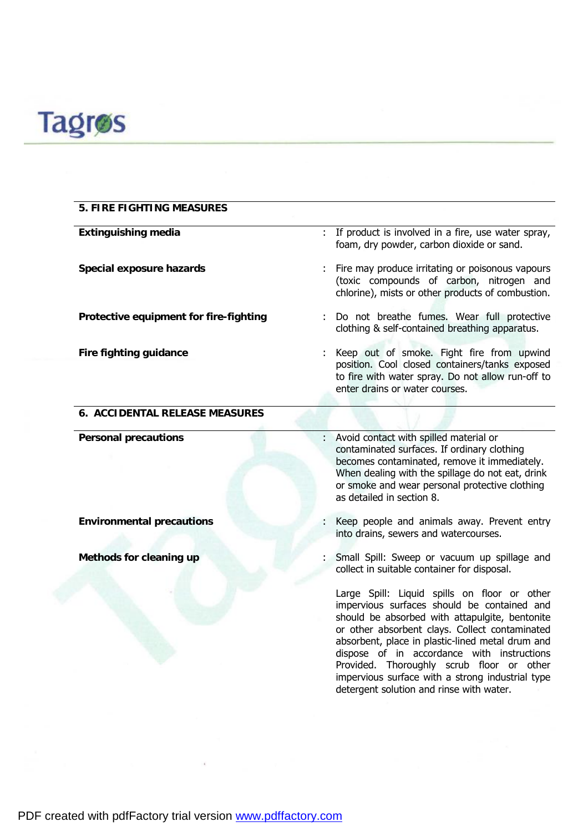

| 5. FIRE FIGHTING MEASURES              |                                                                                                                                                                                                                                                                                                                                                                                                                                                |
|----------------------------------------|------------------------------------------------------------------------------------------------------------------------------------------------------------------------------------------------------------------------------------------------------------------------------------------------------------------------------------------------------------------------------------------------------------------------------------------------|
| <b>Extinguishing media</b>             | : If product is involved in a fire, use water spray,<br>foam, dry powder, carbon dioxide or sand.                                                                                                                                                                                                                                                                                                                                              |
| Special exposure hazards               | Fire may produce irritating or poisonous vapours<br>(toxic compounds of carbon, nitrogen and<br>chlorine), mists or other products of combustion.                                                                                                                                                                                                                                                                                              |
| Protective equipment for fire-fighting | Do not breathe fumes. Wear full protective<br>clothing & self-contained breathing apparatus.                                                                                                                                                                                                                                                                                                                                                   |
| Fire fighting guidance                 | Keep out of smoke. Fight fire from upwind<br>position. Cool closed containers/tanks exposed<br>to fire with water spray. Do not allow run-off to<br>enter drains or water courses.                                                                                                                                                                                                                                                             |
| 6. ACCIDENTAL RELEASE MEASURES         |                                                                                                                                                                                                                                                                                                                                                                                                                                                |
| <b>Personal precautions</b>            | Avoid contact with spilled material or<br>contaminated surfaces. If ordinary clothing<br>becomes contaminated, remove it immediately.<br>When dealing with the spillage do not eat, drink<br>or smoke and wear personal protective clothing<br>as detailed in section 8.                                                                                                                                                                       |
| <b>Environmental precautions</b>       | Keep people and animals away. Prevent entry<br>into drains, sewers and watercourses.                                                                                                                                                                                                                                                                                                                                                           |
| Methods for cleaning up                | Small Spill: Sweep or vacuum up spillage and<br>collect in suitable container for disposal.                                                                                                                                                                                                                                                                                                                                                    |
|                                        | Large Spill: Liquid spills on floor or other<br>impervious surfaces should be contained and<br>should be absorbed with attapulgite, bentonite<br>or other absorbent clays. Collect contaminated<br>absorbent, place in plastic-lined metal drum and<br>dispose of in accordance with instructions<br>Provided. Thoroughly scrub floor or other<br>impervious surface with a strong industrial type<br>detergent solution and rinse with water. |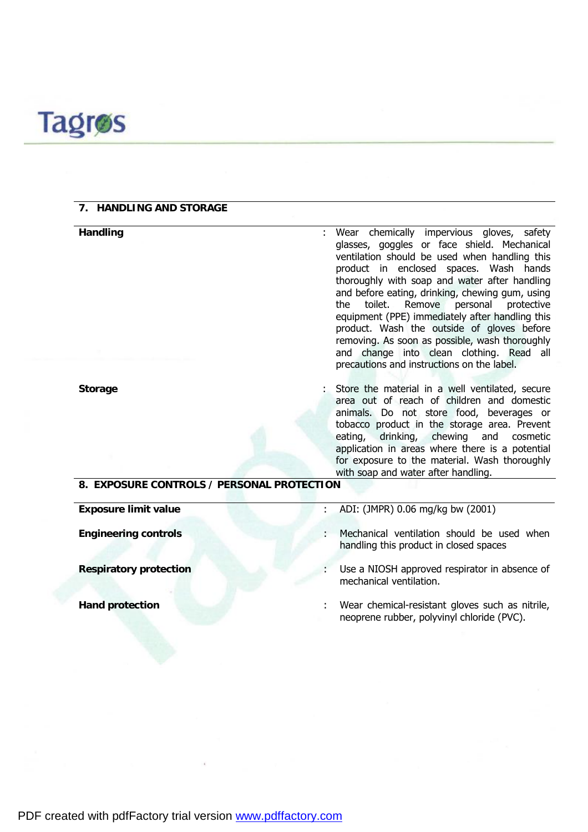

## **7. HANDLING AND STORAGE**

**Handling** : Wear chemically impervious gloves, safety glasses, goggles or face shield. Mechanical ventilation should be used when handling this product in enclosed spaces. Wash hands thoroughly with soap and water after handling and before eating, drinking, chewing gum, using the toilet. Remove personal protective equipment (PPE) immediately after handling this product. Wash the outside of gloves before removing. As soon as possible, wash thoroughly and change into clean clothing. Read all precautions and instructions on the label.

**Storage** : Store the material in a well ventilated, secure area out of reach of children and domestic animals. Do not store food, beverages or tobacco product in the storage area. Prevent eating, drinking, chewing and cosmetic application in areas where there is a potential for exposure to the material. Wash thoroughly with soap and water after handling.

neoprene rubber, polyvinyl chloride (PVC).

# **8. EXPOSURE CONTROLS / PERSONAL PROTECTION**

**Exposure limit value** : ADI: (JMPR) 0.06 mg/kg bw (2001) **Engineering controls** : Mechanical ventilation should be used when handling this product in closed spaces **Respiratory protection** : Use a NIOSH approved respirator in absence of mechanical ventilation. **Hand protection** : Wear chemical-resistant gloves such as nitrile,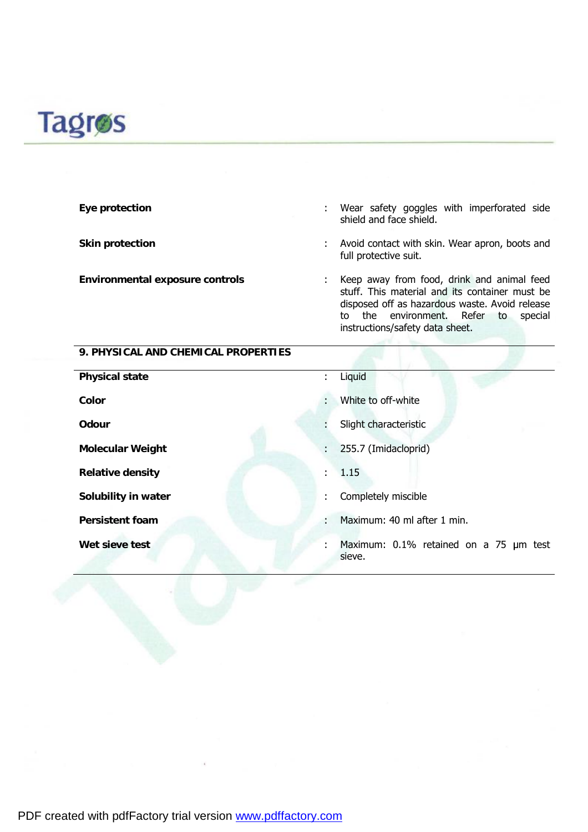# **Tagros**

| Eye protection                      | ÷ | Wear safety goggles with imperforated side<br>shield and face shield.                                                                                                                                                        |
|-------------------------------------|---|------------------------------------------------------------------------------------------------------------------------------------------------------------------------------------------------------------------------------|
| Skin protection                     | ÷ | Avoid contact with skin. Wear apron, boots and<br>full protective suit.                                                                                                                                                      |
| Environmental exposure controls     |   | Keep away from food, drink and animal feed<br>stuff. This material and its container must be<br>disposed off as hazardous waste. Avoid release<br>to the environment. Refer to<br>special<br>instructions/safety data sheet. |
| 9. PHYSICAL AND CHEMICAL PROPERTIES |   |                                                                                                                                                                                                                              |
| <b>Physical state</b>               |   | Liguid                                                                                                                                                                                                                       |

| <b>Physical state</b>   | ÷. | Liquid                                           |
|-------------------------|----|--------------------------------------------------|
| Color                   | ÷. | White to off-white                               |
| Odour                   |    | Slight characteristic                            |
| <b>Molecular Weight</b> | ÷. | 255.7 (Imidacloprid)                             |
| <b>Relative density</b> | t. | 1.15                                             |
| Solubility in water     |    | Completely miscible                              |
| <b>Persistent foam</b>  | ÷. | Maximum: 40 ml after 1 min.                      |
| Wet sieve test          | ÷. | Maximum: 0.1% retained on a 75 µm test<br>sieve. |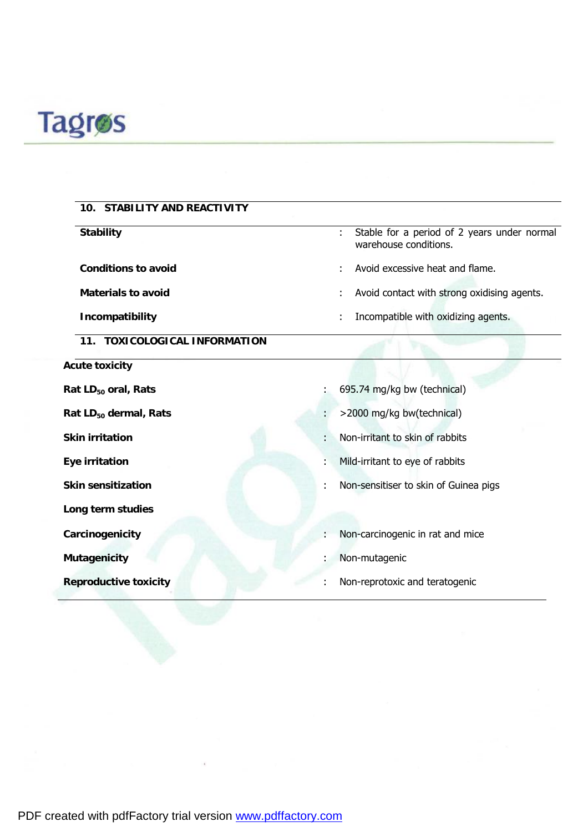

| 10. STABILITY AND REACTIVITY      |                                                                           |
|-----------------------------------|---------------------------------------------------------------------------|
| <b>Stability</b>                  | Stable for a period of 2 years under normal<br>÷<br>warehouse conditions. |
| <b>Conditions to avoid</b>        | Avoid excessive heat and flame.                                           |
| Materials to avoid                | Avoid contact with strong oxidising agents.                               |
| Incompatibility                   | Incompatible with oxidizing agents.                                       |
| 11. TOXICOLOGICAL INFORMATION     |                                                                           |
| <b>Acute toxicity</b>             |                                                                           |
| Rat LD <sub>50</sub> oral, Rats   | 695.74 mg/kg bw (technical)                                               |
| Rat LD <sub>50</sub> dermal, Rats | >2000 mg/kg bw(technical)                                                 |
| <b>Skin irritation</b>            | Non-irritant to skin of rabbits                                           |
| Eye irritation                    | Mild-irritant to eye of rabbits                                           |
| <b>Skin sensitization</b>         | Non-sensitiser to skin of Guinea pigs                                     |
| Long term studies                 |                                                                           |
| Carcinogenicity                   | Non-carcinogenic in rat and mice                                          |
| Mutagenicity                      | Non-mutagenic                                                             |
| <b>Reproductive toxicity</b>      | Non-reprotoxic and teratogenic                                            |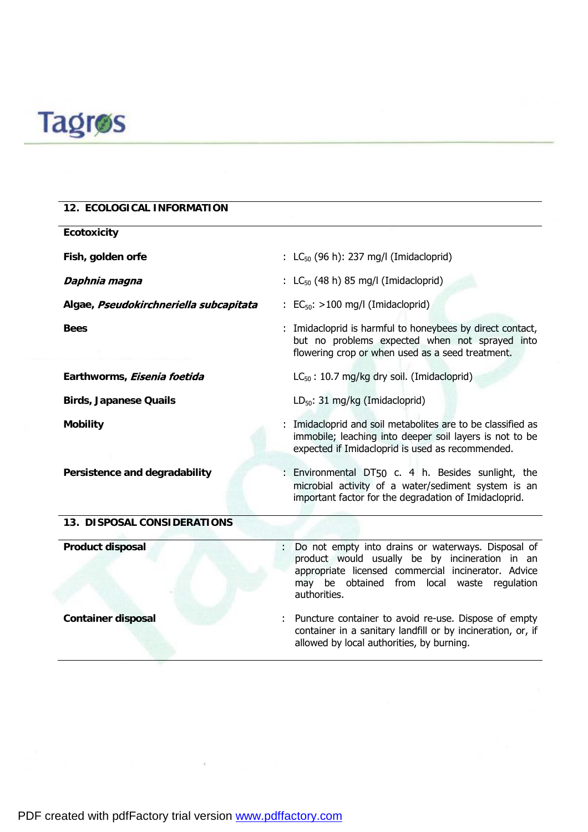

| 12. ECOLOGICAL INFORMATION             |                                                                                                                                                                                                                                  |
|----------------------------------------|----------------------------------------------------------------------------------------------------------------------------------------------------------------------------------------------------------------------------------|
| Ecotoxicity                            |                                                                                                                                                                                                                                  |
| Fish, golden orfe                      | : $LC_{50}$ (96 h): 237 mg/l (Imidacloprid)                                                                                                                                                                                      |
| Daphnia magna                          | : $LC_{50}$ (48 h) 85 mg/l (Imidacloprid)                                                                                                                                                                                        |
| Algae, Pseudokirchneriella subcapitata | $\colon$ EC <sub>50</sub> : >100 mg/l (Imidacloprid)                                                                                                                                                                             |
| <b>Bees</b>                            | : Imidacloprid is harmful to honeybees by direct contact,<br>but no problems expected when not sprayed into<br>flowering crop or when used as a seed treatment.                                                                  |
| Earthworms, <i>Eisenia foetida</i>     | $LC_{50}$ : 10.7 mg/kg dry soil. (Imidacloprid)                                                                                                                                                                                  |
| <b>Birds, Japanese Quails</b>          | $LD_{50}$ : 31 mg/kg (Imidacloprid)                                                                                                                                                                                              |
| <b>Mobility</b>                        | Imidacloprid and soil metabolites are to be classified as<br>immobile; leaching into deeper soil layers is not to be<br>expected if Imidacloprid is used as recommended.                                                         |
| Persistence and degradability          | : Environmental DT50 c. 4 h. Besides sunlight, the<br>microbial activity of a water/sediment system is an<br>important factor for the degradation of Imidacloprid.                                                               |
| 13. DISPOSAL CONSIDERATIONS            |                                                                                                                                                                                                                                  |
| Product disposal                       | Do not empty into drains or waterways. Disposal of<br>÷.<br>product would usually be by incineration in an<br>appropriate licensed commercial incinerator. Advice<br>may be obtained from local waste regulation<br>authorities. |
| <b>Container disposal</b>              | Puncture container to avoid re-use. Dispose of empty<br>container in a sanitary landfill or by incineration, or, if<br>allowed by local authorities, by burning.                                                                 |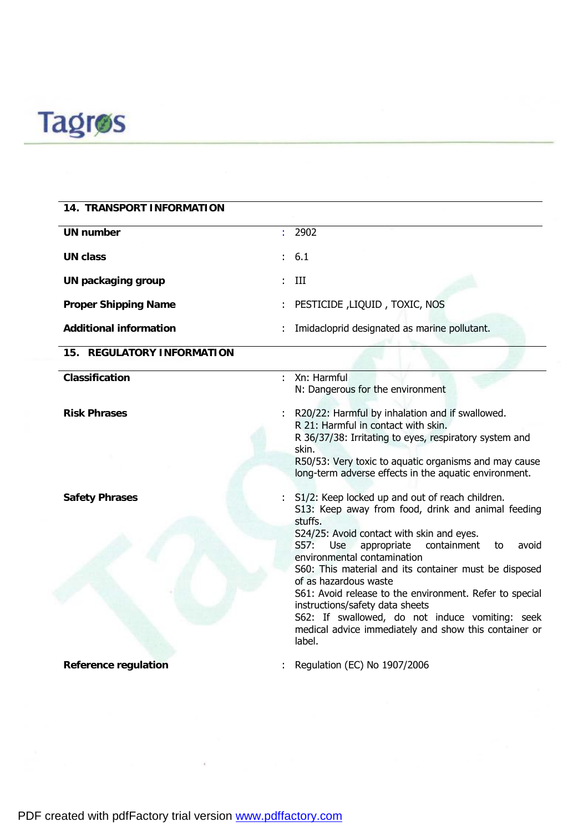

| 14. TRANSPORT INFORMATION     |                                                                                                                                                                                                                                                                                                                                                                                                                                                                                                                                                             |
|-------------------------------|-------------------------------------------------------------------------------------------------------------------------------------------------------------------------------------------------------------------------------------------------------------------------------------------------------------------------------------------------------------------------------------------------------------------------------------------------------------------------------------------------------------------------------------------------------------|
| <b>UN number</b>              | : 2902                                                                                                                                                                                                                                                                                                                                                                                                                                                                                                                                                      |
| <b>UN class</b>               | 6.1                                                                                                                                                                                                                                                                                                                                                                                                                                                                                                                                                         |
| UN packaging group            | III                                                                                                                                                                                                                                                                                                                                                                                                                                                                                                                                                         |
| <b>Proper Shipping Name</b>   | PESTICIDE , LIQUID, TOXIC, NOS                                                                                                                                                                                                                                                                                                                                                                                                                                                                                                                              |
| <b>Additional information</b> | Imidacloprid designated as marine pollutant.                                                                                                                                                                                                                                                                                                                                                                                                                                                                                                                |
| 15. REGULATORY INFORMATION    |                                                                                                                                                                                                                                                                                                                                                                                                                                                                                                                                                             |
| Classification                | Xn: Harmful<br>N: Dangerous for the environment                                                                                                                                                                                                                                                                                                                                                                                                                                                                                                             |
| <b>Risk Phrases</b>           | R20/22: Harmful by inhalation and if swallowed.<br>R 21: Harmful in contact with skin.<br>R 36/37/38: Irritating to eyes, respiratory system and<br>skin.<br>R50/53: Very toxic to aquatic organisms and may cause                                                                                                                                                                                                                                                                                                                                          |
|                               | long-term adverse effects in the aquatic environment.                                                                                                                                                                                                                                                                                                                                                                                                                                                                                                       |
| <b>Safety Phrases</b>         | S1/2: Keep locked up and out of reach children.<br>S13: Keep away from food, drink and animal feeding<br>stuffs.<br>S24/25: Avoid contact with skin and eyes.<br>containment<br>S57:<br>Use appropriate<br>avoid<br>to<br>environmental contamination<br>S60: This material and its container must be disposed<br>of as hazardous waste<br>S61: Avoid release to the environment. Refer to special<br>instructions/safety data sheets<br>S62: If swallowed, do not induce vomiting: seek<br>medical advice immediately and show this container or<br>label. |
| Reference regulation          | Regulation (EC) No 1907/2006                                                                                                                                                                                                                                                                                                                                                                                                                                                                                                                                |